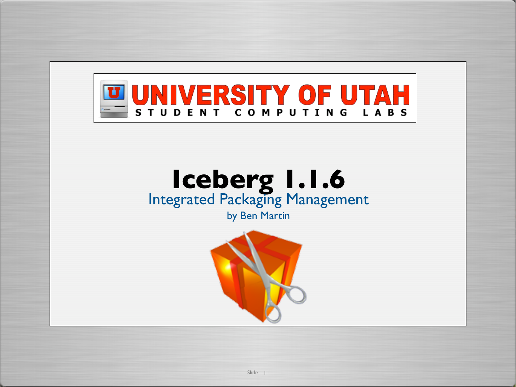

# **Iceberg 1.1.6** Integrated Packaging Management

by Ben Martin

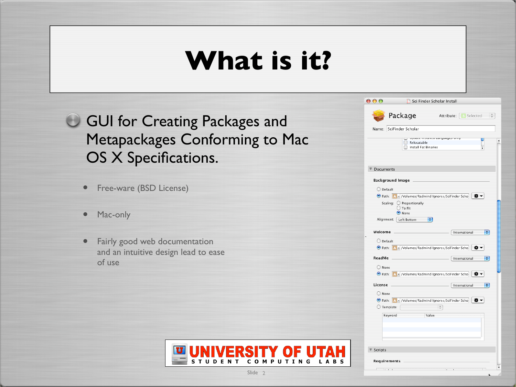### **What is it?**

**GUI for Creating Packages and** Metapackages Conforming to Mac OS X Specifications.

- Free-ware (BSD License)
- Mac-only
- Fairly good web documentation and an intuitive design lead to ease of use



Slide<sub>2</sub>

| $\mathbf{\Theta} \mathbf{\Theta} \mathbf{\Theta}$                   | Sci Finder Scholar Install          |                              |                         |
|---------------------------------------------------------------------|-------------------------------------|------------------------------|-------------------------|
| Package                                                             |                                     | <b>Attribute: S</b> Selected |                         |
| Name: SciFinder Scholar                                             |                                     |                              |                         |
|                                                                     | Relocatable<br>Install Fat Binaries | opuate mataneu canguages omy |                         |
| Documents                                                           |                                     |                              |                         |
| <b>Background Image</b>                                             |                                     |                              |                         |
| O Default                                                           |                                     |                              |                         |
| Path: A v /Volumes/Radmind Ignores/SciFinder Scho                   |                                     |                              | ※ -                     |
| Scaling: O Proportionally<br>$\bigcirc$ To Fit                      |                                     |                              |                         |
| O None                                                              |                                     |                              |                         |
| Alignment: Left Bottom                                              | ÷                                   |                              |                         |
| Welcome                                                             |                                     |                              | $\div$<br>International |
| O Default                                                           |                                     |                              |                         |
| ⊙ Path: A × /Volumes/Radmind Ignores/SciFinder Scho   $\clubsuit$ ▼ |                                     |                              |                         |
| ReadMe                                                              |                                     |                              | ÷۱<br>International     |
| O None                                                              |                                     |                              |                         |
| ⊙ Path: A - /Volumes/Radmind Ignores/SciFinder Scho   $\clubsuit$ - |                                     |                              |                         |
| License                                                             |                                     |                              | ÷۱<br>International     |
| O None                                                              |                                     |                              |                         |
| Path: A v /Volumes/Radmind Ignores/SciFinder Scho                   |                                     |                              | 요 -                     |
| $\bigcirc$ Template:                                                |                                     |                              |                         |
| Keyword                                                             | Value                               |                              |                         |
|                                                                     |                                     |                              |                         |
|                                                                     |                                     |                              |                         |
|                                                                     |                                     |                              |                         |
| Scripts                                                             |                                     |                              |                         |
|                                                                     |                                     |                              |                         |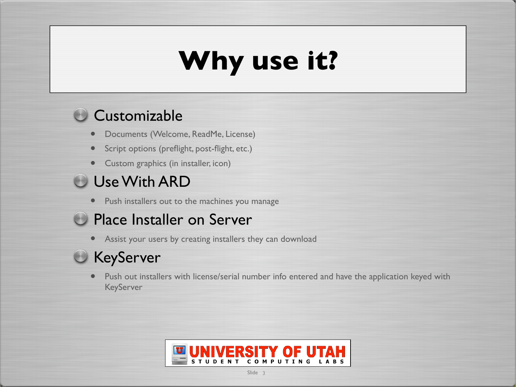# **Why use it?**

#### Customizable

- Documents (Welcome, ReadMe, License)
- Script options (preflight, post-flight, etc.)
- Custom graphics (in installer, icon)

### Use With ARD

• Push installers out to the machines you manage

### **Place Installer on Server**

• Assist your users by creating installers they can download

### **KeyServer**

• Push out installers with license/serial number info entered and have the application keyed with KeyServer

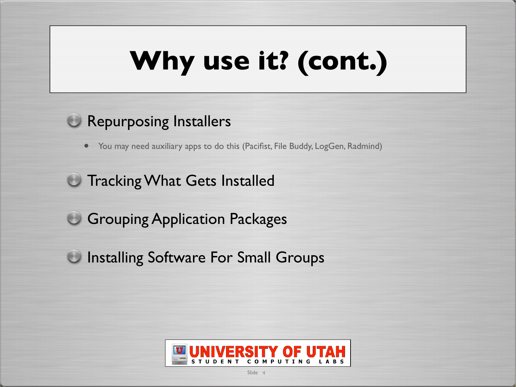# **Why use it? (cont.)**

#### **C** Repurposing Installers

• You may need auxiliary apps to do this (Pacifist, File Buddy, LogGen, Radmind)

### **Tracking What Gets Installed**

**Grouping Application Packages** 

**Installing Software For Small Groups** 

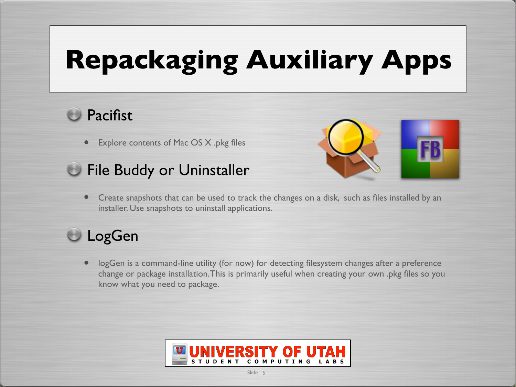# **Repackaging Auxiliary Apps**

### **Pacifist**

• Explore contents of Mac OS X .pkg files





• Create snapshots that can be used to track the changes on a disk, such as files installed by an installer. Use snapshots to uninstall applications.

### **LogGen**

• logGen is a command-line utility (for now) for detecting filesystem changes after a preference change or package installation.This is primarily useful when creating your own .pkg files so you know what you need to package.

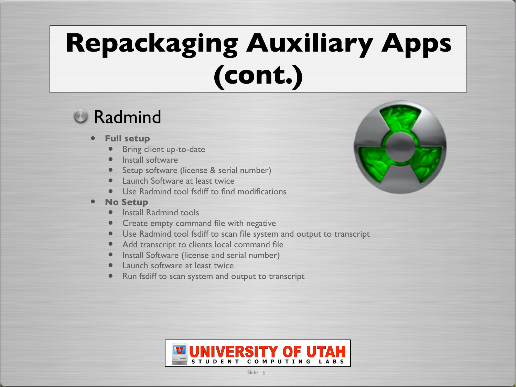# **Repackaging Auxiliary Apps (cont.)**

### **C** Radmind

- **Full setup**
	- Bring client up-to-date
	- **Install software**
	- Setup software (license & serial number)
	- **Launch Software at least twice**
	- Use Radmind tool fsdiff to find modifications
- **No Setup**
	- **Install Radmind tools**
	- Create empty command file with negative
	- Use Radmind tool fsdiff to scan file system and output to transcript
	- Add transcript to clients local command file
	- Install Software (license and serial number)
	- Launch software at least twice
	- Run fsdiff to scan system and output to transcript



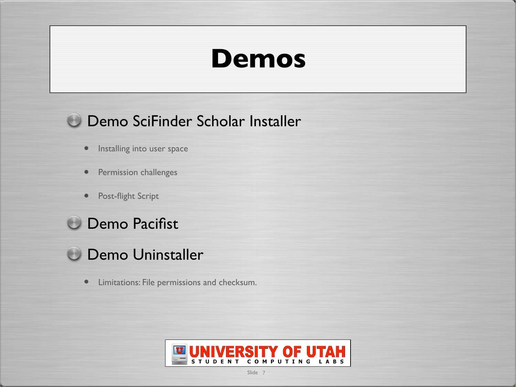### **Demos**

#### **Demo SciFinder Scholar Installer**

- Installing into user space
- Permission challenges
- Post-flight Script



### **O Demo Uninstaller**

• Limitations: File permissions and checksum.

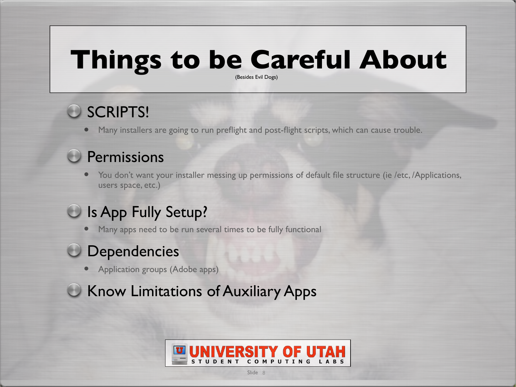### **Things to be Careful About**

(Besides Evil Dogs)

### SCRIPTS!

• Many installers are going to run preflight and post-flight scripts, which can cause trouble.

#### **Permissions**

• You don't want your installer messing up permissions of default file structure (ie /etc, /Applications, users space, etc.)

### O Is App Fully Setup?

• Many apps need to be run several times to be fully functional

#### **Dependencies**

• Application groups (Adobe apps)

**C** Know Limitations of Auxiliary Apps